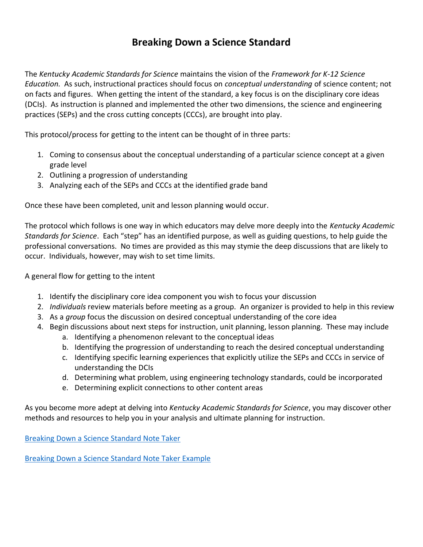## **Breaking Down a Science Standard**

The *Kentucky Academic Standards for Science* maintains the vision of the *Framework for K-12 Science Education.* As such, instructional practices should focus on *conceptual understanding* of science content; not on facts and figures. When getting the intent of the standard, a key focus is on the disciplinary core ideas (DCIs). As instruction is planned and implemented the other two dimensions, the science and engineering practices (SEPs) and the cross cutting concepts (CCCs), are brought into play.

This protocol/process for getting to the intent can be thought of in three parts:

- 1. Coming to consensus about the conceptual understanding of a particular science concept at a given grade level
- 2. Outlining a progression of understanding
- 3. Analyzing each of the SEPs and CCCs at the identified grade band

Once these have been completed, unit and lesson planning would occur.

The protocol which follows is one way in which educators may delve more deeply into the *Kentucky Academic Standards for Science*. Each "step" has an identified purpose, as well as guiding questions, to help guide the professional conversations. No times are provided as this may stymie the deep discussions that are likely to occur. Individuals, however, may wish to set time limits.

A general flow for getting to the intent

- 1. Identify the disciplinary core idea component you wish to focus your discussion
- 2. *Individuals* review materials before meeting as a group. An organizer is provided to help in this review
- 3. As a *group* focus the discussion on desired conceptual understanding of the core idea
- 4. Begin discussions about next steps for instruction, unit planning, lesson planning. These may include
	- a. Identifying a phenomenon relevant to the conceptual ideas
	- b. Identifying the progression of understanding to reach the desired conceptual understanding
	- c. Identifying specific learning experiences that explicitly utilize the SEPs and CCCs in service of understanding the DCIs
	- d. Determining what problem, using engineering technology standards, could be incorporated
	- e. Determining explicit connections to other content areas

As you become more adept at delving into *Kentucky Academic Standards for Science*, you may discover other methods and resources to help you in your analysis and ultimate planning for instruction.

[Breaking Down a Science Standard Note Taker](https://education.ky.gov/curriculum/standards/kyacadstand/Documents/Breaking_Down_a_Science_Standard_Note_Taker.docx)

[Breaking Down a Science Standard Note Taker Example](https://education.ky.gov/curriculum/standards/kyacadstand/Documents/ESS2.A.pdf)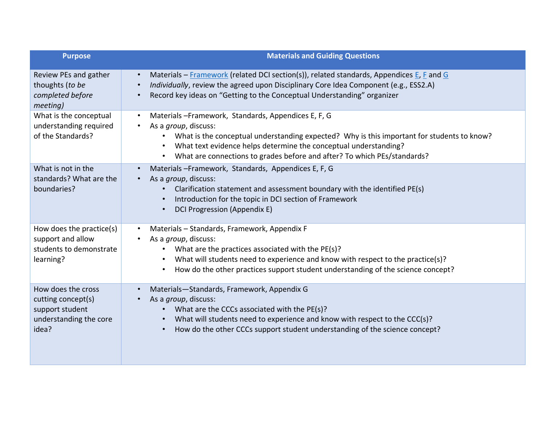| <b>Purpose</b>                                                                                 | <b>Materials and Guiding Questions</b>                                                                                                                                                                                                                                                                                                                       |
|------------------------------------------------------------------------------------------------|--------------------------------------------------------------------------------------------------------------------------------------------------------------------------------------------------------------------------------------------------------------------------------------------------------------------------------------------------------------|
| Review PEs and gather<br>thoughts (to be<br>completed before<br>meeting)                       | Materials – Framework (related DCI section(s)), related standards, Appendices E, F and G<br>$\bullet$<br>Individually, review the agreed upon Disciplinary Core Idea Component (e.g., ESS2.A)<br>Record key ideas on "Getting to the Conceptual Understanding" organizer                                                                                     |
| What is the conceptual<br>understanding required<br>of the Standards?                          | Materials - Framework, Standards, Appendices E, F, G<br>$\bullet$<br>As a <i>group</i> , discuss:<br>What is the conceptual understanding expected? Why is this important for students to know?<br>$\bullet$<br>What text evidence helps determine the conceptual understanding?<br>What are connections to grades before and after? To which PEs/standards? |
| What is not in the<br>standards? What are the<br>boundaries?                                   | Materials-Framework, Standards, Appendices E, F, G<br>$\bullet$<br>As a group, discuss:<br>Clarification statement and assessment boundary with the identified PE(s)<br>Introduction for the topic in DCI section of Framework<br>$\bullet$<br>DCI Progression (Appendix E)                                                                                  |
| How does the practice(s)<br>support and allow<br>students to demonstrate<br>learning?          | Materials - Standards, Framework, Appendix F<br>$\bullet$<br>As a group, discuss:<br>What are the practices associated with the PE(s)?<br>$\bullet$<br>What will students need to experience and know with respect to the practice(s)?<br>How do the other practices support student understanding of the science concept?                                   |
| How does the cross<br>cutting concept(s)<br>support student<br>understanding the core<br>idea? | Materials-Standards, Framework, Appendix G<br>As a group, discuss:<br>• What are the CCCs associated with the PE(s)?<br>What will students need to experience and know with respect to the CCC(s)?<br>How do the other CCCs support student understanding of the science concept?<br>$\bullet$                                                               |